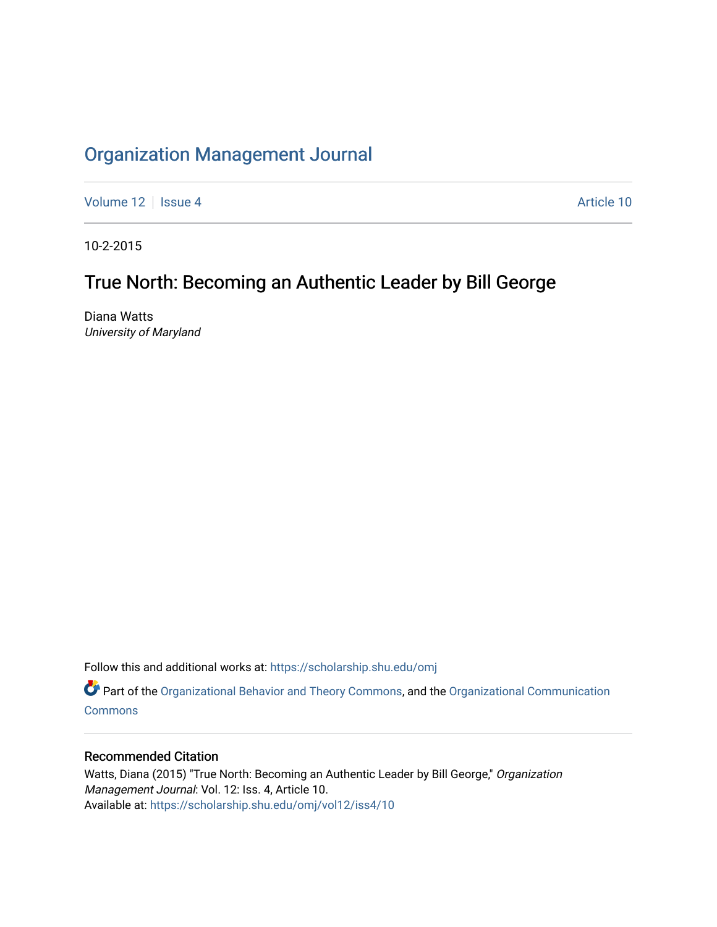# [Organization Management Journal](https://scholarship.shu.edu/omj)

[Volume 12](https://scholarship.shu.edu/omj/vol12) | [Issue 4](https://scholarship.shu.edu/omj/vol12/iss4) Article 10

10-2-2015

# True North: Becoming an Authentic Leader by Bill George

Diana Watts University of Maryland

Follow this and additional works at: [https://scholarship.shu.edu/omj](https://scholarship.shu.edu/omj?utm_source=scholarship.shu.edu%2Fomj%2Fvol12%2Fiss4%2F10&utm_medium=PDF&utm_campaign=PDFCoverPages) 

Part of the [Organizational Behavior and Theory Commons,](http://network.bepress.com/hgg/discipline/639?utm_source=scholarship.shu.edu%2Fomj%2Fvol12%2Fiss4%2F10&utm_medium=PDF&utm_campaign=PDFCoverPages) and the [Organizational Communication](http://network.bepress.com/hgg/discipline/335?utm_source=scholarship.shu.edu%2Fomj%2Fvol12%2Fiss4%2F10&utm_medium=PDF&utm_campaign=PDFCoverPages) **[Commons](http://network.bepress.com/hgg/discipline/335?utm_source=scholarship.shu.edu%2Fomj%2Fvol12%2Fiss4%2F10&utm_medium=PDF&utm_campaign=PDFCoverPages)** 

## Recommended Citation

Watts, Diana (2015) "True North: Becoming an Authentic Leader by Bill George," Organization Management Journal: Vol. 12: Iss. 4, Article 10. Available at: [https://scholarship.shu.edu/omj/vol12/iss4/10](https://scholarship.shu.edu/omj/vol12/iss4/10?utm_source=scholarship.shu.edu%2Fomj%2Fvol12%2Fiss4%2F10&utm_medium=PDF&utm_campaign=PDFCoverPages)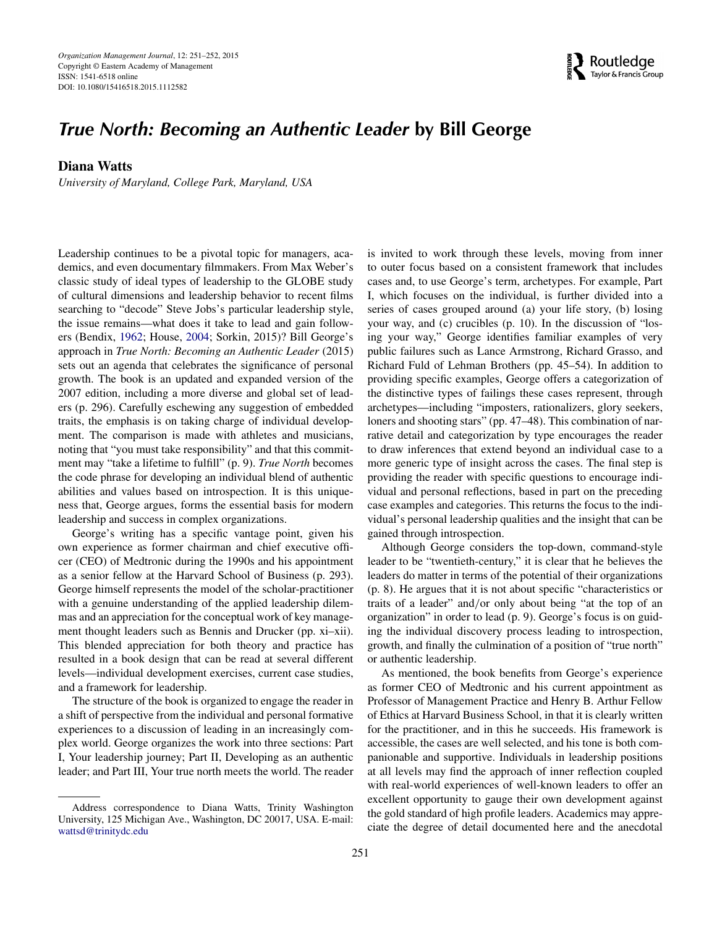

## *True North: Becoming an Authentic Leader* **by Bill George**

## **Diana Watts**

*University of Maryland, College Park, Maryland, USA*

Leadership continues to be a pivotal topic for managers, academics, and even documentary filmmakers. From Max Weber's classic study of ideal types of leadership to the GLOBE study of cultural dimensions and leadership behavior to recent films searching to "decode" Steve Jobs's particular leadership style, the issue remains—what does it take to lead and gain followers (Bendix, [1962;](#page-2-0) House, [2004;](#page-2-1) Sorkin, 2015)? Bill George's approach in *True North: Becoming an Authentic Leader* (2015) sets out an agenda that celebrates the significance of personal growth. The book is an updated and expanded version of the 2007 edition, including a more diverse and global set of leaders (p. 296). Carefully eschewing any suggestion of embedded traits, the emphasis is on taking charge of individual development. The comparison is made with athletes and musicians, noting that "you must take responsibility" and that this commitment may "take a lifetime to fulfill" (p. 9). *True North* becomes the code phrase for developing an individual blend of authentic abilities and values based on introspection. It is this uniqueness that, George argues, forms the essential basis for modern leadership and success in complex organizations.

George's writing has a specific vantage point, given his own experience as former chairman and chief executive officer (CEO) of Medtronic during the 1990s and his appointment as a senior fellow at the Harvard School of Business (p. 293). George himself represents the model of the scholar-practitioner with a genuine understanding of the applied leadership dilemmas and an appreciation for the conceptual work of key management thought leaders such as Bennis and Drucker (pp. xi–xii). This blended appreciation for both theory and practice has resulted in a book design that can be read at several different levels—individual development exercises, current case studies, and a framework for leadership.

The structure of the book is organized to engage the reader in a shift of perspective from the individual and personal formative experiences to a discussion of leading in an increasingly complex world. George organizes the work into three sections: Part I, Your leadership journey; Part II, Developing as an authentic leader; and Part III, Your true north meets the world. The reader

is invited to work through these levels, moving from inner to outer focus based on a consistent framework that includes cases and, to use George's term, archetypes. For example, Part I, which focuses on the individual, is further divided into a series of cases grouped around (a) your life story, (b) losing your way, and (c) crucibles (p. 10). In the discussion of "losing your way," George identifies familiar examples of very public failures such as Lance Armstrong, Richard Grasso, and Richard Fuld of Lehman Brothers (pp. 45–54). In addition to providing specific examples, George offers a categorization of the distinctive types of failings these cases represent, through archetypes—including "imposters, rationalizers, glory seekers, loners and shooting stars" (pp. 47–48). This combination of narrative detail and categorization by type encourages the reader to draw inferences that extend beyond an individual case to a more generic type of insight across the cases. The final step is providing the reader with specific questions to encourage individual and personal reflections, based in part on the preceding case examples and categories. This returns the focus to the individual's personal leadership qualities and the insight that can be gained through introspection.

Although George considers the top-down, command-style leader to be "twentieth-century," it is clear that he believes the leaders do matter in terms of the potential of their organizations (p. 8). He argues that it is not about specific "characteristics or traits of a leader" and*/*or only about being "at the top of an organization" in order to lead (p. 9). George's focus is on guiding the individual discovery process leading to introspection, growth, and finally the culmination of a position of "true north" or authentic leadership.

As mentioned, the book benefits from George's experience as former CEO of Medtronic and his current appointment as Professor of Management Practice and Henry B. Arthur Fellow of Ethics at Harvard Business School, in that it is clearly written for the practitioner, and in this he succeeds. His framework is accessible, the cases are well selected, and his tone is both companionable and supportive. Individuals in leadership positions at all levels may find the approach of inner reflection coupled with real-world experiences of well-known leaders to offer an excellent opportunity to gauge their own development against the gold standard of high profile leaders. Academics may appreciate the degree of detail documented here and the anecdotal

Address correspondence to Diana Watts, Trinity Washington University, 125 Michigan Ave., Washington, DC 20017, USA. E-mail: [wattsd@trinitydc.edu](mailto:wattsd@trinitydc.edu)